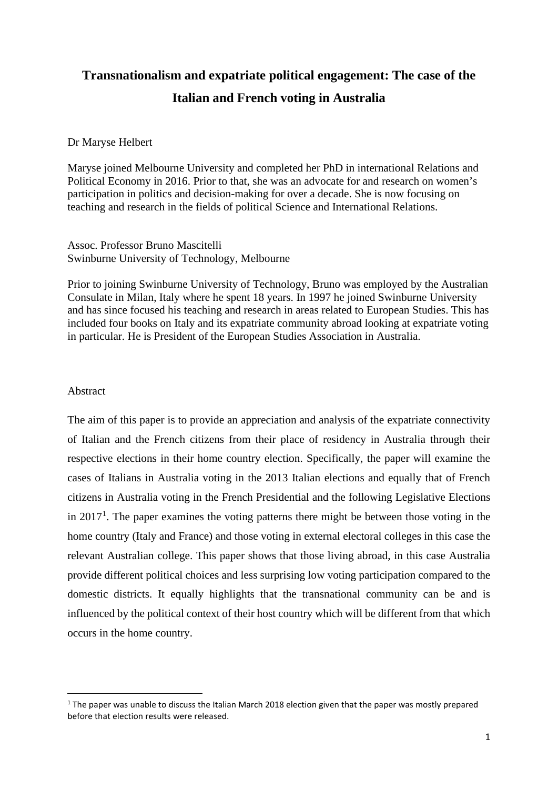# **Transnationalism and expatriate political engagement: The case of the Italian and French voting in Australia**

# Dr Maryse Helbert

Maryse joined Melbourne University and completed her PhD in international Relations and Political Economy in 2016. Prior to that, she was an advocate for and research on women's participation in politics and decision-making for over a decade. She is now focusing on teaching and research in the fields of political Science and International Relations.

Assoc. Professor Bruno Mascitelli Swinburne University of Technology, Melbourne

Prior to joining Swinburne University of Technology, Bruno was employed by the Australian Consulate in Milan, Italy where he spent 18 years. In 1997 he joined Swinburne University and has since focused his teaching and research in areas related to European Studies. This has included four books on Italy and its expatriate community abroad looking at expatriate voting in particular. He is President of the European Studies Association in Australia.

#### Abstract

The aim of this paper is to provide an appreciation and analysis of the expatriate connectivity of Italian and the French citizens from their place of residency in Australia through their respective elections in their home country election. Specifically, the paper will examine the cases of Italians in Australia voting in the 2013 Italian elections and equally that of French citizens in Australia voting in the French Presidential and the following Legislative Elections in  $2017<sup>1</sup>$  $2017<sup>1</sup>$  $2017<sup>1</sup>$ . The paper examines the voting patterns there might be between those voting in the home country (Italy and France) and those voting in external electoral colleges in this case the relevant Australian college. This paper shows that those living abroad, in this case Australia provide different political choices and less surprising low voting participation compared to the domestic districts. It equally highlights that the transnational community can be and is influenced by the political context of their host country which will be different from that which occurs in the home country.

<span id="page-0-0"></span><sup>&</sup>lt;sup>1</sup> The paper was unable to discuss the Italian March 2018 election given that the paper was mostly prepared before that election results were released.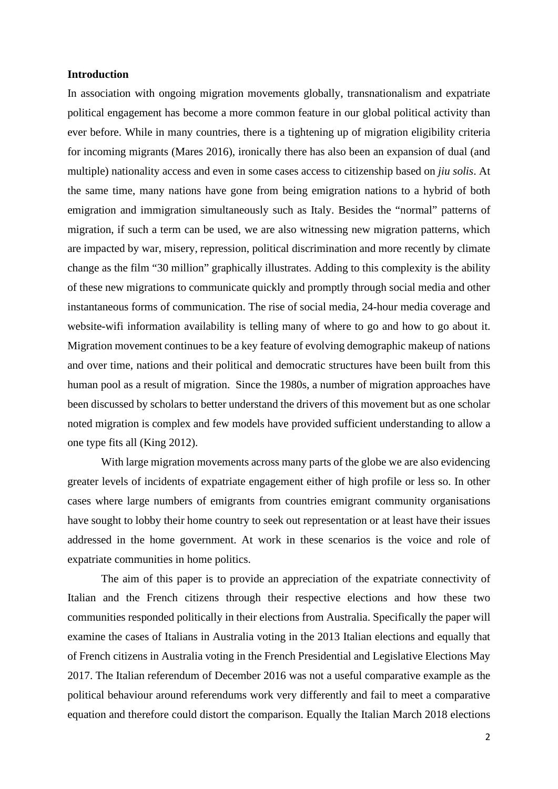#### **Introduction**

In association with ongoing migration movements globally, transnationalism and expatriate political engagement has become a more common feature in our global political activity than ever before. While in many countries, there is a tightening up of migration eligibility criteria for incoming migrants (Mares 2016), ironically there has also been an expansion of dual (and multiple) nationality access and even in some cases access to citizenship based on *jiu solis*. At the same time, many nations have gone from being emigration nations to a hybrid of both emigration and immigration simultaneously such as Italy. Besides the "normal" patterns of migration, if such a term can be used, we are also witnessing new migration patterns, which are impacted by war, misery, repression, political discrimination and more recently by climate change as the film "30 million" graphically illustrates. Adding to this complexity is the ability of these new migrations to communicate quickly and promptly through social media and other instantaneous forms of communication. The rise of social media, 24-hour media coverage and website-wifi information availability is telling many of where to go and how to go about it. Migration movement continues to be a key feature of evolving demographic makeup of nations and over time, nations and their political and democratic structures have been built from this human pool as a result of migration. Since the 1980s, a number of migration approaches have been discussed by scholars to better understand the drivers of this movement but as one scholar noted migration is complex and few models have provided sufficient understanding to allow a one type fits all (King 2012).

With large migration movements across many parts of the globe we are also evidencing greater levels of incidents of expatriate engagement either of high profile or less so. In other cases where large numbers of emigrants from countries emigrant community organisations have sought to lobby their home country to seek out representation or at least have their issues addressed in the home government. At work in these scenarios is the voice and role of expatriate communities in home politics.

The aim of this paper is to provide an appreciation of the expatriate connectivity of Italian and the French citizens through their respective elections and how these two communities responded politically in their elections from Australia. Specifically the paper will examine the cases of Italians in Australia voting in the 2013 Italian elections and equally that of French citizens in Australia voting in the French Presidential and Legislative Elections May 2017. The Italian referendum of December 2016 was not a useful comparative example as the political behaviour around referendums work very differently and fail to meet a comparative equation and therefore could distort the comparison. Equally the Italian March 2018 elections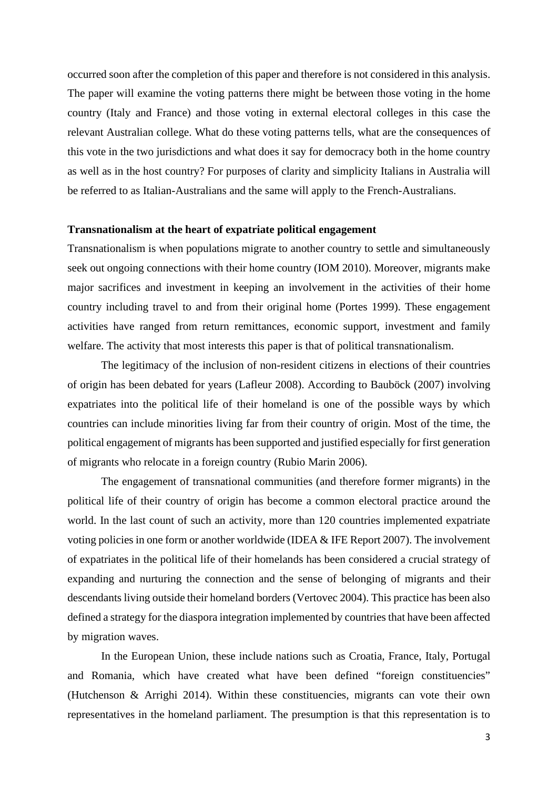occurred soon after the completion of this paper and therefore is not considered in this analysis. The paper will examine the voting patterns there might be between those voting in the home country (Italy and France) and those voting in external electoral colleges in this case the relevant Australian college. What do these voting patterns tells, what are the consequences of this vote in the two jurisdictions and what does it say for democracy both in the home country as well as in the host country? For purposes of clarity and simplicity Italians in Australia will be referred to as Italian-Australians and the same will apply to the French-Australians.

#### **Transnationalism at the heart of expatriate political engagement**

Transnationalism is when populations migrate to another country to settle and simultaneously seek out ongoing connections with their home country (IOM 2010). Moreover, migrants make major sacrifices and investment in keeping an involvement in the activities of their home country including travel to and from their original home (Portes 1999). These engagement activities have ranged from return remittances, economic support, investment and family welfare. The activity that most interests this paper is that of political transnationalism.

The legitimacy of the inclusion of non-resident citizens in elections of their countries of origin has been debated for years (Lafleur 2008). According to Bauböck (2007) involving expatriates into the political life of their homeland is one of the possible ways by which countries can include minorities living far from their country of origin. Most of the time, the political engagement of migrants has been supported and justified especially for first generation of migrants who relocate in a foreign country (Rubio Marin 2006).

The engagement of transnational communities (and therefore former migrants) in the political life of their country of origin has become a common electoral practice around the world. In the last count of such an activity, more than 120 countries implemented expatriate voting policies in one form or another worldwide (IDEA & IFE Report 2007). The involvement of expatriates in the political life of their homelands has been considered a crucial strategy of expanding and nurturing the connection and the sense of belonging of migrants and their descendants living outside their homeland borders (Vertovec 2004). This practice has been also defined a strategy for the diaspora integration implemented by countries that have been affected by migration waves.

In the European Union, these include nations such as Croatia, France, Italy, Portugal and Romania, which have created what have been defined "foreign constituencies" (Hutchenson & Arrighi 2014). Within these constituencies, migrants can vote their own representatives in the homeland parliament. The presumption is that this representation is to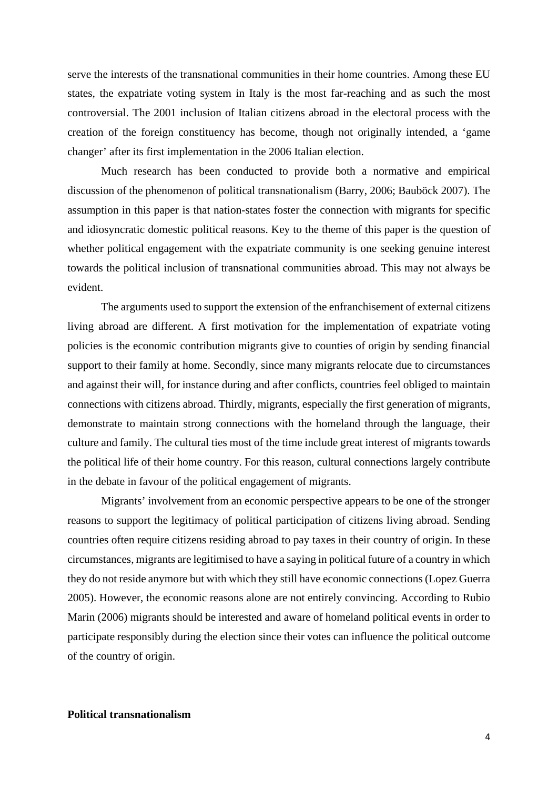serve the interests of the transnational communities in their home countries. Among these EU states, the expatriate voting system in Italy is the most far-reaching and as such the most controversial. The 2001 inclusion of Italian citizens abroad in the electoral process with the creation of the foreign constituency has become, though not originally intended, a 'game changer' after its first implementation in the 2006 Italian election.

Much research has been conducted to provide both a normative and empirical discussion of the phenomenon of political transnationalism (Barry, 2006; Bauböck 2007). The assumption in this paper is that nation-states foster the connection with migrants for specific and idiosyncratic domestic political reasons. Key to the theme of this paper is the question of whether political engagement with the expatriate community is one seeking genuine interest towards the political inclusion of transnational communities abroad. This may not always be evident.

The arguments used to support the extension of the enfranchisement of external citizens living abroad are different. A first motivation for the implementation of expatriate voting policies is the economic contribution migrants give to counties of origin by sending financial support to their family at home. Secondly, since many migrants relocate due to circumstances and against their will, for instance during and after conflicts, countries feel obliged to maintain connections with citizens abroad. Thirdly, migrants, especially the first generation of migrants, demonstrate to maintain strong connections with the homeland through the language, their culture and family. The cultural ties most of the time include great interest of migrants towards the political life of their home country. For this reason, cultural connections largely contribute in the debate in favour of the political engagement of migrants.

Migrants' involvement from an economic perspective appears to be one of the stronger reasons to support the legitimacy of political participation of citizens living abroad. Sending countries often require citizens residing abroad to pay taxes in their country of origin. In these circumstances, migrants are legitimised to have a saying in political future of a country in which they do not reside anymore but with which they still have economic connections (Lopez Guerra 2005). However, the economic reasons alone are not entirely convincing. According to Rubio Marin (2006) migrants should be interested and aware of homeland political events in order to participate responsibly during the election since their votes can influence the political outcome of the country of origin.

# **Political transnationalism**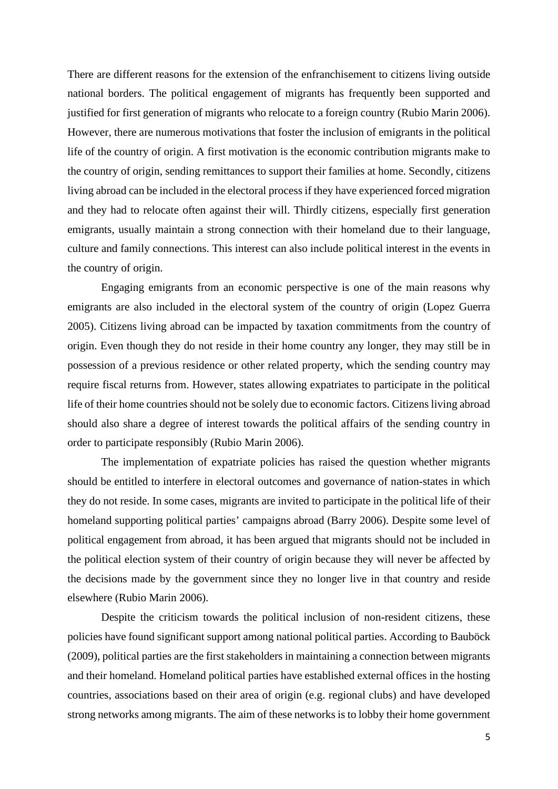There are different reasons for the extension of the enfranchisement to citizens living outside national borders. The political engagement of migrants has frequently been supported and justified for first generation of migrants who relocate to a foreign country (Rubio Marin 2006). However, there are numerous motivations that foster the inclusion of emigrants in the political life of the country of origin. A first motivation is the economic contribution migrants make to the country of origin, sending remittances to support their families at home. Secondly, citizens living abroad can be included in the electoral process if they have experienced forced migration and they had to relocate often against their will. Thirdly citizens, especially first generation emigrants, usually maintain a strong connection with their homeland due to their language, culture and family connections. This interest can also include political interest in the events in the country of origin.

Engaging emigrants from an economic perspective is one of the main reasons why emigrants are also included in the electoral system of the country of origin (Lopez Guerra 2005). Citizens living abroad can be impacted by taxation commitments from the country of origin. Even though they do not reside in their home country any longer, they may still be in possession of a previous residence or other related property, which the sending country may require fiscal returns from. However, states allowing expatriates to participate in the political life of their home countries should not be solely due to economic factors. Citizens living abroad should also share a degree of interest towards the political affairs of the sending country in order to participate responsibly (Rubio Marin 2006).

The implementation of expatriate policies has raised the question whether migrants should be entitled to interfere in electoral outcomes and governance of nation-states in which they do not reside. In some cases, migrants are invited to participate in the political life of their homeland supporting political parties' campaigns abroad (Barry 2006). Despite some level of political engagement from abroad, it has been argued that migrants should not be included in the political election system of their country of origin because they will never be affected by the decisions made by the government since they no longer live in that country and reside elsewhere (Rubio Marin 2006).

Despite the criticism towards the political inclusion of non-resident citizens, these policies have found significant support among national political parties. According to Bauböck (2009), political parties are the first stakeholders in maintaining a connection between migrants and their homeland. Homeland political parties have established external offices in the hosting countries, associations based on their area of origin (e.g. regional clubs) and have developed strong networks among migrants. The aim of these networks is to lobby their home government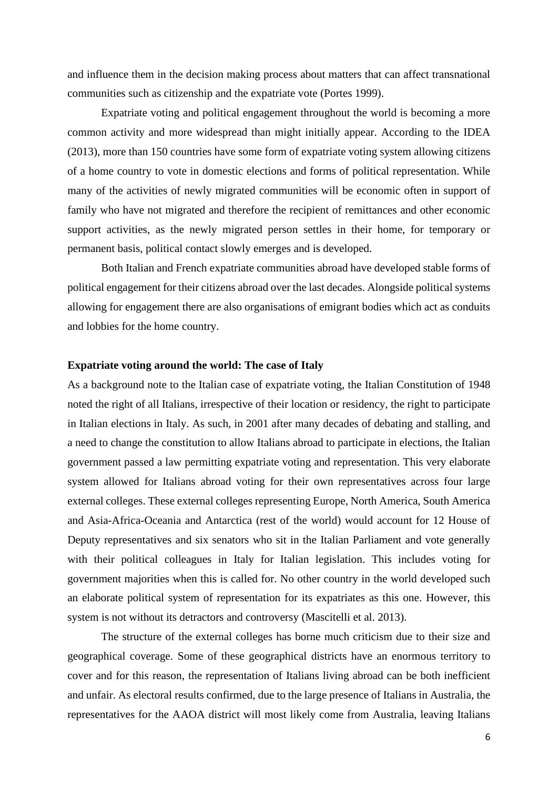and influence them in the decision making process about matters that can affect transnational communities such as citizenship and the expatriate vote (Portes 1999).

Expatriate voting and political engagement throughout the world is becoming a more common activity and more widespread than might initially appear. According to the IDEA (2013), more than 150 countries have some form of expatriate voting system allowing citizens of a home country to vote in domestic elections and forms of political representation. While many of the activities of newly migrated communities will be economic often in support of family who have not migrated and therefore the recipient of remittances and other economic support activities, as the newly migrated person settles in their home, for temporary or permanent basis, political contact slowly emerges and is developed.

Both Italian and French expatriate communities abroad have developed stable forms of political engagement for their citizens abroad over the last decades. Alongside political systems allowing for engagement there are also organisations of emigrant bodies which act as conduits and lobbies for the home country.

#### **Expatriate voting around the world: The case of Italy**

As a background note to the Italian case of expatriate voting, the Italian Constitution of 1948 noted the right of all Italians, irrespective of their location or residency, the right to participate in Italian elections in Italy. As such, in 2001 after many decades of debating and stalling, and a need to change the constitution to allow Italians abroad to participate in elections, the Italian government passed a law permitting expatriate voting and representation. This very elaborate system allowed for Italians abroad voting for their own representatives across four large external colleges. These external colleges representing Europe, North America, South America and Asia-Africa-Oceania and Antarctica (rest of the world) would account for 12 House of Deputy representatives and six senators who sit in the Italian Parliament and vote generally with their political colleagues in Italy for Italian legislation. This includes voting for government majorities when this is called for. No other country in the world developed such an elaborate political system of representation for its expatriates as this one. However, this system is not without its detractors and controversy (Mascitelli et al. 2013).

The structure of the external colleges has borne much criticism due to their size and geographical coverage. Some of these geographical districts have an enormous territory to cover and for this reason, the representation of Italians living abroad can be both inefficient and unfair. As electoral results confirmed, due to the large presence of Italians in Australia, the representatives for the AAOA district will most likely come from Australia, leaving Italians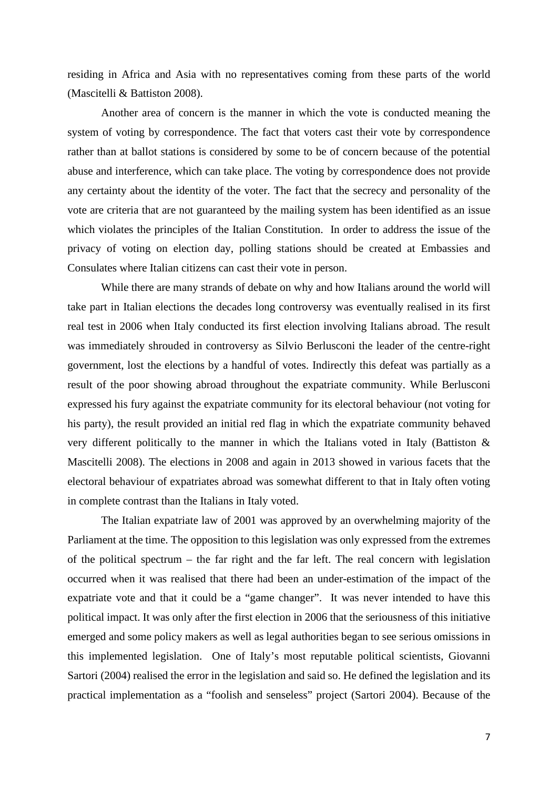residing in Africa and Asia with no representatives coming from these parts of the world (Mascitelli & Battiston 2008).

Another area of concern is the manner in which the vote is conducted meaning the system of voting by correspondence. The fact that voters cast their vote by correspondence rather than at ballot stations is considered by some to be of concern because of the potential abuse and interference, which can take place. The voting by correspondence does not provide any certainty about the identity of the voter. The fact that the secrecy and personality of the vote are criteria that are not guaranteed by the mailing system has been identified as an issue which violates the principles of the Italian Constitution. In order to address the issue of the privacy of voting on election day, polling stations should be created at Embassies and Consulates where Italian citizens can cast their vote in person.

While there are many strands of debate on why and how Italians around the world will take part in Italian elections the decades long controversy was eventually realised in its first real test in 2006 when Italy conducted its first election involving Italians abroad. The result was immediately shrouded in controversy as Silvio Berlusconi the leader of the centre-right government, lost the elections by a handful of votes. Indirectly this defeat was partially as a result of the poor showing abroad throughout the expatriate community. While Berlusconi expressed his fury against the expatriate community for its electoral behaviour (not voting for his party), the result provided an initial red flag in which the expatriate community behaved very different politically to the manner in which the Italians voted in Italy (Battiston & Mascitelli 2008). The elections in 2008 and again in 2013 showed in various facets that the electoral behaviour of expatriates abroad was somewhat different to that in Italy often voting in complete contrast than the Italians in Italy voted.

The Italian expatriate law of 2001 was approved by an overwhelming majority of the Parliament at the time. The opposition to this legislation was only expressed from the extremes of the political spectrum – the far right and the far left. The real concern with legislation occurred when it was realised that there had been an under-estimation of the impact of the expatriate vote and that it could be a "game changer". It was never intended to have this political impact. It was only after the first election in 2006 that the seriousness of this initiative emerged and some policy makers as well as legal authorities began to see serious omissions in this implemented legislation. One of Italy's most reputable political scientists, Giovanni Sartori (2004) realised the error in the legislation and said so. He defined the legislation and its practical implementation as a "foolish and senseless" project (Sartori 2004). Because of the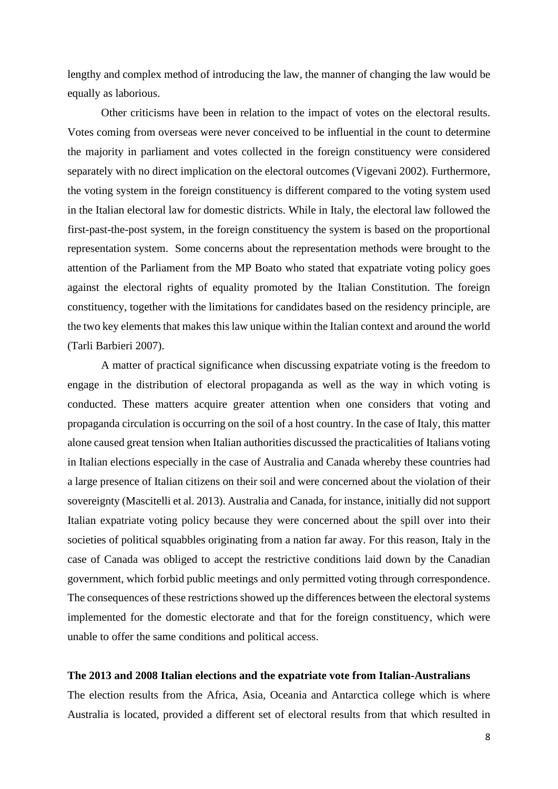lengthy and complex method of introducing the law, the manner of changing the law would be equally as laborious.

Other criticisms have been in relation to the impact of votes on the electoral results. Votes coming from overseas were never conceived to be influential in the count to determine the majority in parliament and votes collected in the foreign constituency were considered separately with no direct implication on the electoral outcomes (Vigevani 2002). Furthermore, the voting system in the foreign constituency is different compared to the voting system used in the Italian electoral law for domestic districts. While in Italy, the electoral law followed the first-past-the-post system, in the foreign constituency the system is based on the proportional representation system. Some concerns about the representation methods were brought to the attention of the Parliament from the MP Boato who stated that expatriate voting policy goes against the electoral rights of equality promoted by the Italian Constitution. The foreign constituency, together with the limitations for candidates based on the residency principle, are the two key elements that makes this law unique within the Italian context and around the world (Tarli Barbieri 2007).

A matter of practical significance when discussing expatriate voting is the freedom to engage in the distribution of electoral propaganda as well as the way in which voting is conducted. These matters acquire greater attention when one considers that voting and propaganda circulation is occurring on the soil of a host country. In the case of Italy, this matter alone caused great tension when Italian authorities discussed the practicalities of Italians voting in Italian elections especially in the case of Australia and Canada whereby these countries had a large presence of Italian citizens on their soil and were concerned about the violation of their sovereignty (Mascitelli et al. 2013). Australia and Canada, for instance, initially did not support Italian expatriate voting policy because they were concerned about the spill over into their societies of political squabbles originating from a nation far away. For this reason, Italy in the case of Canada was obliged to accept the restrictive conditions laid down by the Canadian government, which forbid public meetings and only permitted voting through correspondence. The consequences of these restrictions showed up the differences between the electoral systems implemented for the domestic electorate and that for the foreign constituency, which were unable to offer the same conditions and political access.

#### **The 2013 and 2008 Italian elections and the expatriate vote from Italian-Australians**

The election results from the Africa, Asia, Oceania and Antarctica college which is where Australia is located, provided a different set of electoral results from that which resulted in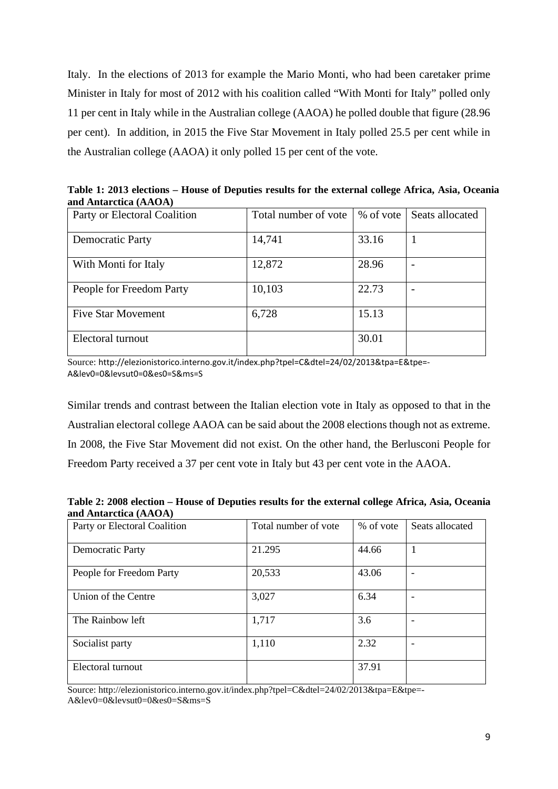Italy. In the elections of 2013 for example the Mario Monti, who had been caretaker prime Minister in Italy for most of 2012 with his coalition called "With Monti for Italy" polled only 11 per cent in Italy while in the Australian college (AAOA) he polled double that figure (28.96 per cent). In addition, in 2015 the Five Star Movement in Italy polled 25.5 per cent while in the Australian college (AAOA) it only polled 15 per cent of the vote.

**Table 1: 2013 elections – House of Deputies results for the external college Africa, Asia, Oceania and Antarctica (AAOA)**

| Party or Electoral Coalition | Total number of vote |       | % of vote Seats allocated |
|------------------------------|----------------------|-------|---------------------------|
| <b>Democratic Party</b>      | 14,741               | 33.16 |                           |
| With Monti for Italy         | 12,872               | 28.96 |                           |
| People for Freedom Party     | 10,103               | 22.73 |                           |
| <b>Five Star Movement</b>    | 6,728                | 15.13 |                           |
| Electoral turnout            |                      | 30.01 |                           |

Source: http://elezionistorico.interno.gov.it/index.php?tpel=C&dtel=24/02/2013&tpa=E&tpe=- A&lev0=0&levsut0=0&es0=S&ms=S

Similar trends and contrast between the Italian election vote in Italy as opposed to that in the Australian electoral college AAOA can be said about the 2008 elections though not as extreme. In 2008, the Five Star Movement did not exist. On the other hand, the Berlusconi People for Freedom Party received a 37 per cent vote in Italy but 43 per cent vote in the AAOA.

**Table 2: 2008 election – House of Deputies results for the external college Africa, Asia, Oceania and Antarctica (AAOA)**

| 1.222                        |                      |           |                 |
|------------------------------|----------------------|-----------|-----------------|
| Party or Electoral Coalition | Total number of vote | % of vote | Seats allocated |
|                              |                      |           |                 |
|                              |                      |           |                 |
| Democratic Party             | 21.295               | 44.66     | 1               |
|                              |                      |           |                 |
|                              |                      |           |                 |
| People for Freedom Party     | 20,533               | 43.06     |                 |
|                              |                      |           |                 |
|                              |                      |           |                 |
| Union of the Centre          | 3,027                | 6.34      |                 |
|                              |                      |           |                 |
|                              |                      |           |                 |
| The Rainbow left             | 1,717                | 3.6       |                 |
|                              |                      |           |                 |
|                              |                      |           |                 |
| Socialist party              | 1,110                | 2.32      |                 |
|                              |                      |           |                 |
|                              |                      |           |                 |
| Electoral turnout            |                      | 37.91     |                 |
|                              |                      |           |                 |
|                              |                      |           |                 |

Source: http://elezionistorico.interno.gov.it/index.php?tpel=C&dtel=24/02/2013&tpa=E&tpe=- A&lev0=0&levsut0=0&es0=S&ms=S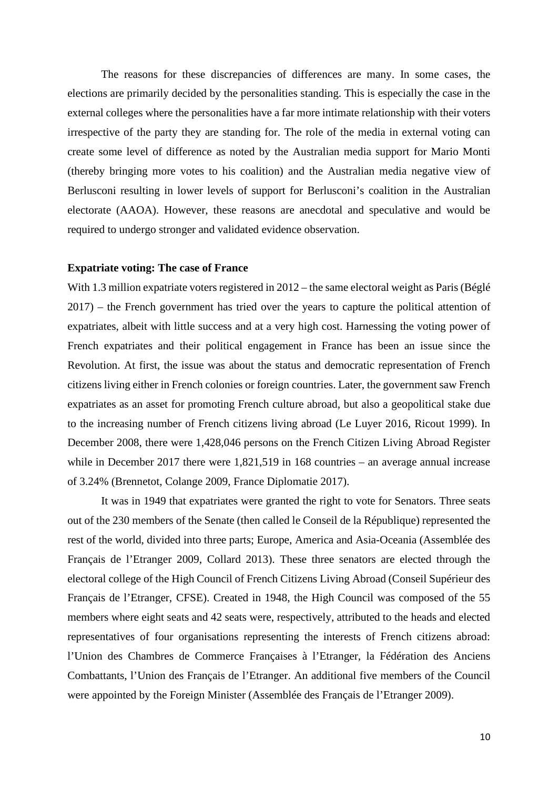The reasons for these discrepancies of differences are many. In some cases, the elections are primarily decided by the personalities standing. This is especially the case in the external colleges where the personalities have a far more intimate relationship with their voters irrespective of the party they are standing for. The role of the media in external voting can create some level of difference as noted by the Australian media support for Mario Monti (thereby bringing more votes to his coalition) and the Australian media negative view of Berlusconi resulting in lower levels of support for Berlusconi's coalition in the Australian electorate (AAOA). However, these reasons are anecdotal and speculative and would be required to undergo stronger and validated evidence observation.

#### **Expatriate voting: The case of France**

With 1.3 million expatriate voters registered in 2012 – the same electoral weight as Paris (Béglé 2017) – the French government has tried over the years to capture the political attention of expatriates, albeit with little success and at a very high cost. Harnessing the voting power of French expatriates and their political engagement in France has been an issue since the Revolution. At first, the issue was about the status and democratic representation of French citizens living either in French colonies or foreign countries. Later, the government saw French expatriates as an asset for promoting French culture abroad, but also a geopolitical stake due to the increasing number of French citizens living abroad (Le Luyer 2016, Ricout 1999). In December 2008, there were 1,428,046 persons on the French Citizen Living Abroad Register while in December 2017 there were 1,821,519 in 168 countries – an average annual increase of 3.24% (Brennetot, Colange 2009, France Diplomatie 2017).

It was in 1949 that expatriates were granted the right to vote for Senators. Three seats out of the 230 members of the Senate (then called le Conseil de la République) represented the rest of the world, divided into three parts; Europe, America and Asia-Oceania (Assemblée des Français de l'Etranger 2009, Collard 2013). These three senators are elected through the electoral college of the High Council of French Citizens Living Abroad (Conseil Supérieur des Français de l'Etranger, CFSE). Created in 1948, the High Council was composed of the 55 members where eight seats and 42 seats were, respectively, attributed to the heads and elected representatives of four organisations representing the interests of French citizens abroad: l'Union des Chambres de Commerce Françaises à l'Etranger, la Fédération des Anciens Combattants, l'Union des Français de l'Etranger. An additional five members of the Council were appointed by the Foreign Minister (Assemblée des Français de l'Etranger 2009).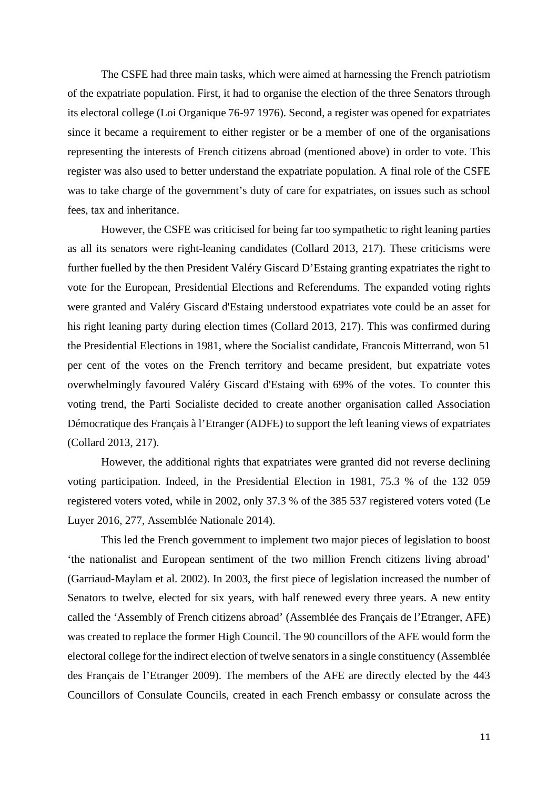The CSFE had three main tasks, which were aimed at harnessing the French patriotism of the expatriate population. First, it had to organise the election of the three Senators through its electoral college (Loi Organique 76-97 1976). Second, a register was opened for expatriates since it became a requirement to either register or be a member of one of the organisations representing the interests of French citizens abroad (mentioned above) in order to vote. This register was also used to better understand the expatriate population. A final role of the CSFE was to take charge of the government's duty of care for expatriates, on issues such as school fees, tax and inheritance.

However, the CSFE was criticised for being far too sympathetic to right leaning parties as all its senators were right-leaning candidates (Collard 2013, 217). These criticisms were further fuelled by the then President Valéry Giscard D'Estaing granting expatriates the right to vote for the European, Presidential Elections and Referendums. The expanded voting rights were granted and Valéry Giscard d'Estaing understood expatriates vote could be an asset for his right leaning party during election times (Collard 2013, 217). This was confirmed during the Presidential Elections in 1981, where the Socialist candidate, Francois Mitterrand, won 51 per cent of the votes on the French territory and became president, but expatriate votes overwhelmingly favoured Valéry Giscard d'Estaing with 69% of the votes. To counter this voting trend, the Parti Socialiste decided to create another organisation called Association Démocratique des Français à l'Etranger (ADFE) to support the left leaning views of expatriates (Collard 2013, 217).

However, the additional rights that expatriates were granted did not reverse declining voting participation. Indeed, in the Presidential Election in 1981, 75.3 % of the 132 059 registered voters voted, while in 2002, only 37.3 % of the 385 537 registered voters voted (Le Luyer 2016, 277, Assemblée Nationale 2014).

This led the French government to implement two major pieces of legislation to boost 'the nationalist and European sentiment of the two million French citizens living abroad' (Garriaud-Maylam et al. 2002). In 2003, the first piece of legislation increased the number of Senators to twelve, elected for six years, with half renewed every three years. A new entity called the 'Assembly of French citizens abroad' (Assemblée des Français de l'Etranger, AFE) was created to replace the former High Council. The 90 councillors of the AFE would form the electoral college for the indirect election of twelve senators in a single constituency (Assemblée des Français de l'Etranger 2009). The members of the AFE are directly elected by the 443 Councillors of Consulate Councils, created in each French embassy or consulate across the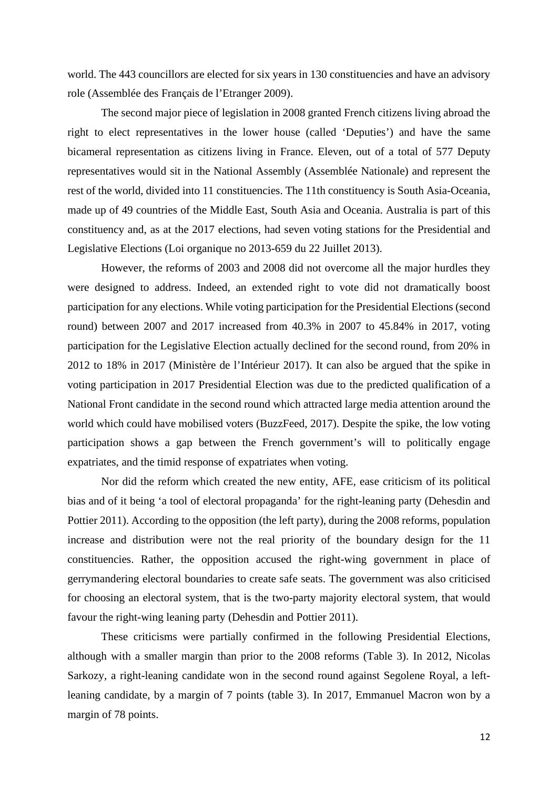world. The 443 councillors are elected for six years in 130 constituencies and have an advisory role (Assemblée des Français de l'Etranger 2009).

The second major piece of legislation in 2008 granted French citizens living abroad the right to elect representatives in the lower house (called 'Deputies') and have the same bicameral representation as citizens living in France. Eleven, out of a total of 577 Deputy representatives would sit in the National Assembly (Assemblée Nationale) and represent the rest of the world, divided into 11 constituencies. The 11th constituency is South Asia-Oceania, made up of 49 countries of the Middle East, South Asia and Oceania. Australia is part of this constituency and, as at the 2017 elections, had seven voting stations for the Presidential and Legislative Elections (Loi organique no 2013-659 du 22 Juillet 2013).

However, the reforms of 2003 and 2008 did not overcome all the major hurdles they were designed to address. Indeed, an extended right to vote did not dramatically boost participation for any elections. While voting participation for the Presidential Elections (second round) between 2007 and 2017 increased from 40.3% in 2007 to 45.84% in 2017, voting participation for the Legislative Election actually declined for the second round, from 20% in 2012 to 18% in 2017 (Ministère de l'Intérieur 2017). It can also be argued that the spike in voting participation in 2017 Presidential Election was due to the predicted qualification of a National Front candidate in the second round which attracted large media attention around the world which could have mobilised voters (BuzzFeed, 2017). Despite the spike, the low voting participation shows a gap between the French government's will to politically engage expatriates, and the timid response of expatriates when voting.

Nor did the reform which created the new entity, AFE, ease criticism of its political bias and of it being 'a tool of electoral propaganda' for the right-leaning party (Dehesdin and Pottier 2011). According to the opposition (the left party), during the 2008 reforms, population increase and distribution were not the real priority of the boundary design for the 11 constituencies. Rather, the opposition accused the right-wing government in place of gerrymandering electoral boundaries to create safe seats. The government was also criticised for choosing an electoral system, that is the two-party majority electoral system, that would favour the right-wing leaning party (Dehesdin and Pottier 2011).

These criticisms were partially confirmed in the following Presidential Elections, although with a smaller margin than prior to the 2008 reforms (Table 3). In 2012, Nicolas Sarkozy, a right-leaning candidate won in the second round against Segolene Royal, a leftleaning candidate, by a margin of 7 points (table 3). In 2017, Emmanuel Macron won by a margin of 78 points.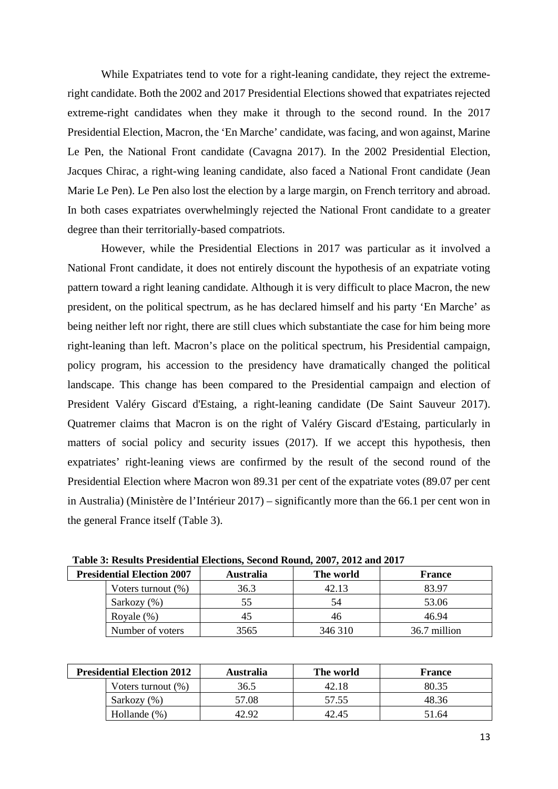While Expatriates tend to vote for a right-leaning candidate, they reject the extremeright candidate. Both the 2002 and 2017 Presidential Elections showed that expatriates rejected extreme-right candidates when they make it through to the second round. In the 2017 Presidential Election, Macron, the 'En Marche' candidate, was facing, and won against, Marine Le Pen, the National Front candidate (Cavagna 2017). In the 2002 Presidential Election, Jacques Chirac, a right-wing leaning candidate, also faced a National Front candidate (Jean Marie Le Pen). Le Pen also lost the election by a large margin, on French territory and abroad. In both cases expatriates overwhelmingly rejected the National Front candidate to a greater degree than their territorially-based compatriots.

However, while the Presidential Elections in 2017 was particular as it involved a National Front candidate, it does not entirely discount the hypothesis of an expatriate voting pattern toward a right leaning candidate. Although it is very difficult to place Macron, the new president, on the political spectrum, as he has declared himself and his party 'En Marche' as being neither left nor right, there are still clues which substantiate the case for him being more right-leaning than left. Macron's place on the political spectrum, his Presidential campaign, policy program, his accession to the presidency have dramatically changed the political landscape. This change has been compared to the Presidential campaign and election of President Valéry Giscard d'Estaing, a right-leaning candidate (De Saint Sauveur 2017). Quatremer claims that Macron is on the right of Valéry Giscard d'Estaing, particularly in matters of social policy and security issues (2017). If we accept this hypothesis, then expatriates' right-leaning views are confirmed by the result of the second round of the Presidential Election where Macron won 89.31 per cent of the expatriate votes (89.07 per cent in Australia) (Ministère de l'Intérieur 2017) – significantly more than the 66.1 per cent won in the general France itself (Table 3).

| <b>Presidential Election 2007</b> | <b>Australia</b> | The world | <b>France</b> |  |  |
|-----------------------------------|------------------|-----------|---------------|--|--|
| Voters turnout $(\%)$             | 36.3             | 42.13     | 83.97         |  |  |
| Sarkozy (%)                       | 55               | 54        | 53.06         |  |  |
| Royale $(\%)$                     | 45               | 46        | 46.94         |  |  |
| Number of voters                  | 3565             | 346 310   | 36.7 million  |  |  |

**Table 3: Results Presidential Elections, Second Round, 2007, 2012 and 2017**

| <b>Presidential Election 2012</b> | <b>Australia</b> | The world | <b>France</b> |
|-----------------------------------|------------------|-----------|---------------|
| Voters turnout $(\%)$             | 36.5             | 42.18     | 80.35         |
| Sarkozy (%)                       | 57.08            | 57.55     | 48.36         |
| Hollande (%)                      | 42.92            | 42.45     | 51.64         |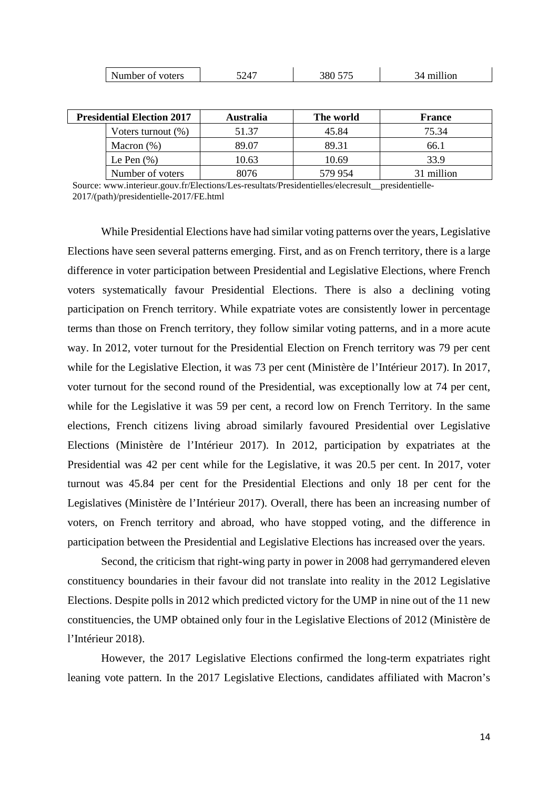| <b>Presidential Election 2017</b> | <b>Australia</b> | The world | <b>France</b> |
|-----------------------------------|------------------|-----------|---------------|
| Voters turnout $(\%)$             | 51.37            | 45.84     | 75.34         |
| Macron $(\%)$                     | 89.07            | 89.31     | 66.1          |
| Le Pen $(\% )$                    | 10.63            | 10.69     | 33.9          |
| Number of voters                  | 8076             | 579 954   | 31 million    |

Source: www.interieur.gouv.fr/Elections/Les-resultats/Presidentielles/elecresult\_\_presidentielle-2017/(path)/presidentielle-2017/FE.html

While Presidential Elections have had similar voting patterns over the years, Legislative Elections have seen several patterns emerging. First, and as on French territory, there is a large difference in voter participation between Presidential and Legislative Elections, where French voters systematically favour Presidential Elections. There is also a declining voting participation on French territory. While expatriate votes are consistently lower in percentage terms than those on French territory, they follow similar voting patterns, and in a more acute way. In 2012, voter turnout for the Presidential Election on French territory was 79 per cent while for the Legislative Election, it was 73 per cent (Ministère de l'Intérieur 2017). In 2017, voter turnout for the second round of the Presidential, was exceptionally low at 74 per cent, while for the Legislative it was 59 per cent, a record low on French Territory. In the same elections, French citizens living abroad similarly favoured Presidential over Legislative Elections (Ministère de l'Intérieur 2017). In 2012, participation by expatriates at the Presidential was 42 per cent while for the Legislative, it was 20.5 per cent. In 2017, voter turnout was 45.84 per cent for the Presidential Elections and only 18 per cent for the Legislatives (Ministère de l'Intérieur 2017). Overall, there has been an increasing number of voters, on French territory and abroad, who have stopped voting, and the difference in participation between the Presidential and Legislative Elections has increased over the years.

Second, the criticism that right-wing party in power in 2008 had gerrymandered eleven constituency boundaries in their favour did not translate into reality in the 2012 Legislative Elections. Despite polls in 2012 which predicted victory for the UMP in nine out of the 11 new constituencies, the UMP obtained only four in the Legislative Elections of 2012 (Ministère de l'Intérieur 2018).

However, the 2017 Legislative Elections confirmed the long-term expatriates right leaning vote pattern. In the 2017 Legislative Elections, candidates affiliated with Macron's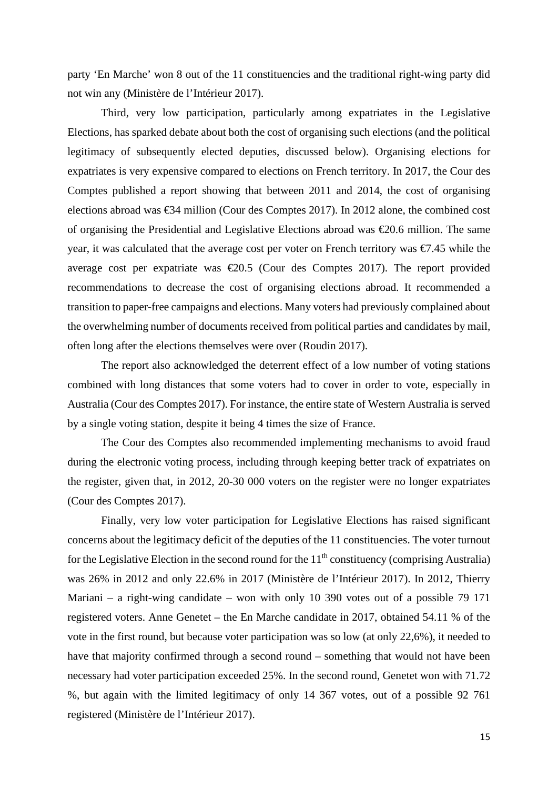party 'En Marche' won 8 out of the 11 constituencies and the traditional right-wing party did not win any (Ministère de l'Intérieur 2017).

Third, very low participation, particularly among expatriates in the Legislative Elections, has sparked debate about both the cost of organising such elections (and the political legitimacy of subsequently elected deputies, discussed below). Organising elections for expatriates is very expensive compared to elections on French territory. In 2017, the Cour des Comptes published a report showing that between 2011 and 2014, the cost of organising elections abroad was €34 million (Cour des Comptes 2017). In 2012 alone, the combined cost of organising the Presidential and Legislative Elections abroad was €20.6 million. The same year, it was calculated that the average cost per voter on French territory was €7.45 while the average cost per expatriate was  $\epsilon 20.5$  (Cour des Comptes 2017). The report provided recommendations to decrease the cost of organising elections abroad. It recommended a transition to paper-free campaigns and elections. Many voters had previously complained about the overwhelming number of documents received from political parties and candidates by mail, often long after the elections themselves were over (Roudin 2017).

The report also acknowledged the deterrent effect of a low number of voting stations combined with long distances that some voters had to cover in order to vote, especially in Australia (Cour des Comptes 2017). For instance, the entire state of Western Australia is served by a single voting station, despite it being 4 times the size of France.

The Cour des Comptes also recommended implementing mechanisms to avoid fraud during the electronic voting process, including through keeping better track of expatriates on the register, given that, in 2012, 20-30 000 voters on the register were no longer expatriates (Cour des Comptes 2017).

Finally, very low voter participation for Legislative Elections has raised significant concerns about the legitimacy deficit of the deputies of the 11 constituencies. The voter turnout for the Legislative Election in the second round for the  $11<sup>th</sup>$  constituency (comprising Australia) was 26% in 2012 and only 22.6% in 2017 (Ministère de l'Intérieur 2017). In 2012, Thierry Mariani – a right-wing candidate – won with only 10 390 votes out of a possible 79 171 registered voters. Anne Genetet – the En Marche candidate in 2017, obtained 54.11 % of the vote in the first round, but because voter participation was so low (at only 22,6%), it needed to have that majority confirmed through a second round – something that would not have been necessary had voter participation exceeded 25%. In the second round, Genetet won with 71.72 %, but again with the limited legitimacy of only 14 367 votes, out of a possible 92 761 registered (Ministère de l'Intérieur 2017).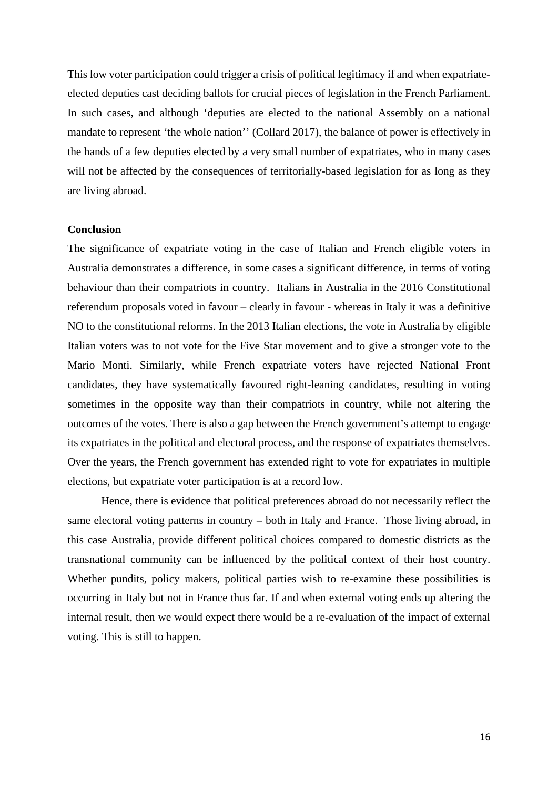This low voter participation could trigger a crisis of political legitimacy if and when expatriateelected deputies cast deciding ballots for crucial pieces of legislation in the French Parliament. In such cases, and although 'deputies are elected to the national Assembly on a national mandate to represent 'the whole nation'' (Collard 2017), the balance of power is effectively in the hands of a few deputies elected by a very small number of expatriates, who in many cases will not be affected by the consequences of territorially-based legislation for as long as they are living abroad.

#### **Conclusion**

The significance of expatriate voting in the case of Italian and French eligible voters in Australia demonstrates a difference, in some cases a significant difference, in terms of voting behaviour than their compatriots in country. Italians in Australia in the 2016 Constitutional referendum proposals voted in favour – clearly in favour - whereas in Italy it was a definitive NO to the constitutional reforms. In the 2013 Italian elections, the vote in Australia by eligible Italian voters was to not vote for the Five Star movement and to give a stronger vote to the Mario Monti. Similarly, while French expatriate voters have rejected National Front candidates, they have systematically favoured right-leaning candidates, resulting in voting sometimes in the opposite way than their compatriots in country, while not altering the outcomes of the votes. There is also a gap between the French government's attempt to engage its expatriates in the political and electoral process, and the response of expatriates themselves. Over the years, the French government has extended right to vote for expatriates in multiple elections, but expatriate voter participation is at a record low.

Hence, there is evidence that political preferences abroad do not necessarily reflect the same electoral voting patterns in country – both in Italy and France. Those living abroad, in this case Australia, provide different political choices compared to domestic districts as the transnational community can be influenced by the political context of their host country. Whether pundits, policy makers, political parties wish to re-examine these possibilities is occurring in Italy but not in France thus far. If and when external voting ends up altering the internal result, then we would expect there would be a re-evaluation of the impact of external voting. This is still to happen.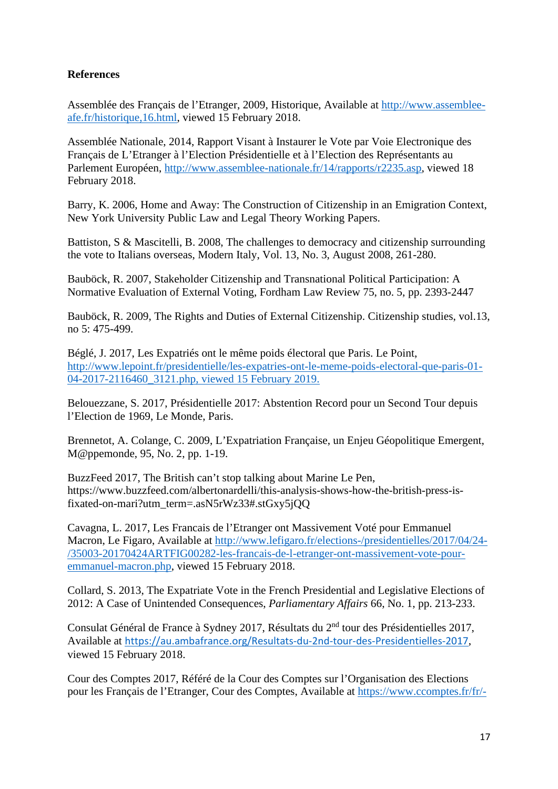# **References**

Assemblée des Français de l'Etranger, 2009, Historique, Available at [http://www.assemblee](http://www.assemblee-afe.fr/historique,16.html)[afe.fr/historique,16.html,](http://www.assemblee-afe.fr/historique,16.html) viewed 15 February 2018.

Assemblée Nationale, 2014, Rapport Visant à Instaurer le Vote par Voie Electronique des Français de L'Etranger à l'Election Présidentielle et à l'Election des Représentants au Parlement Européen, [http://www.assemblee-nationale.fr/14/rapports/r2235.asp,](http://www.assemblee-nationale.fr/14/rapports/r2235.asp) viewed 18 February 2018.

Barry, K. 2006, Home and Away: The Construction of Citizenship in an Emigration Context, New York University Public Law and Legal Theory Working Papers.

Battiston, S & Mascitelli, B. 2008, The challenges to democracy and citizenship surrounding the vote to Italians overseas, Modern Italy, Vol. 13, No. 3, August 2008, 261-280.

Bauböck, R. 2007, Stakeholder Citizenship and Transnational Political Participation: A Normative Evaluation of External Voting, Fordham Law Review 75, no. 5, pp. 2393-2447

Bauböck, R. 2009, The Rights and Duties of External Citizenship. Citizenship studies, vol.13, no 5: 475-499.

Béglé, J. 2017, Les Expatriés ont le même poids électoral que Paris. Le Point, [http://www.lepoint.fr/presidentielle/les-expatries-ont-le-meme-poids-electoral-que-paris-01-](http://www.lepoint.fr/presidentielle/les-expatries-ont-le-meme-poids-electoral-que-paris-01-04-2017-2116460_3121.php) [04-2017-2116460\\_3121.php,](http://www.lepoint.fr/presidentielle/les-expatries-ont-le-meme-poids-electoral-que-paris-01-04-2017-2116460_3121.php) viewed 15 February 2019.

Belouezzane, S. 2017, Présidentielle 2017: Abstention Record pour un Second Tour depuis l'Election de 1969, Le Monde, Paris.

Brennetot, A. Colange, C. 2009, L'Expatriation Française, un Enjeu Géopolitique Emergent, M@ppemonde, 95, No. 2, pp. 1-19.

BuzzFeed 2017, The British can't stop talking about Marine Le Pen, https://www.buzzfeed.com/albertonardelli/this-analysis-shows-how-the-british-press-isfixated-on-mari?utm\_term=.asN5rWz33#.stGxy5jQQ

Cavagna, L. 2017, Les Francais de l'Etranger ont Massivement Voté pour Emmanuel Macron, Le Figaro, Available at [http://www.lefigaro.fr/elections-/presidentielles/2017/04/24-](http://www.lefigaro.fr/elections-/presidentielles/2017/04/24-/35003-20170424ARTFIG00282-les-francais-de-l-etranger-ont-massivement-vote-pour-emmanuel-macron.php) [/35003-20170424ARTFIG00282-les-francais-de-l-etranger-ont-massivement-vote-pour](http://www.lefigaro.fr/elections-/presidentielles/2017/04/24-/35003-20170424ARTFIG00282-les-francais-de-l-etranger-ont-massivement-vote-pour-emmanuel-macron.php)[emmanuel-macron.php,](http://www.lefigaro.fr/elections-/presidentielles/2017/04/24-/35003-20170424ARTFIG00282-les-francais-de-l-etranger-ont-massivement-vote-pour-emmanuel-macron.php) viewed 15 February 2018.

Collard, S. 2013, The Expatriate Vote in the French Presidential and Legislative Elections of 2012: A Case of Unintended Consequences, *Parliamentary Affairs* 66, No. 1, pp. 213-233.

Consulat Général de France à Sydney 2017, Résultats du 2nd tour des Présidentielles 2017, Available at <https://au.ambafrance.org/Resultats-du-2nd-tour-des-Presidentielles-2017>, viewed 15 February 2018.

Cour des Comptes 2017, Référé de la Cour des Comptes sur l'Organisation des Elections pour les Français de l'Etranger, Cour des Comptes, Available at [https://www.ccomptes.fr/fr/-](https://www.ccomptes.fr/fr/-publications/lorganisation-des-elections-pour-les-francais-etablis-hors-de-france)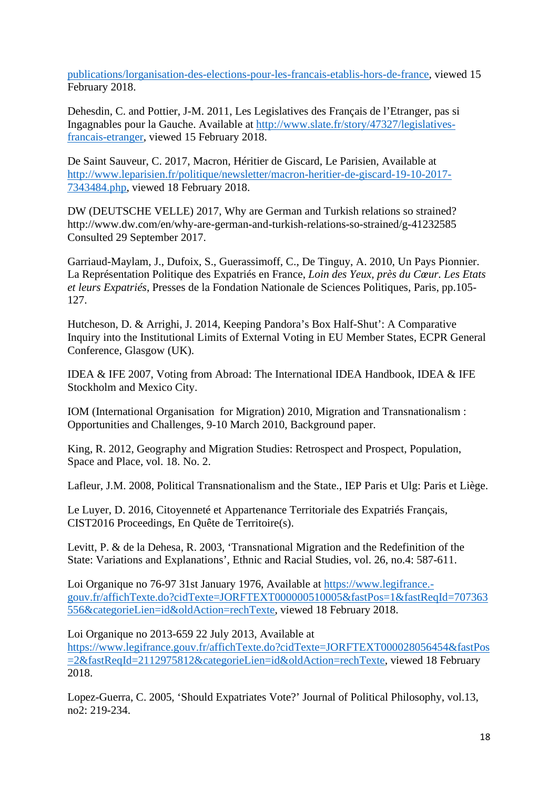[publications/lorganisation-des-elections-pour-les-francais-etablis-hors-de-france,](https://www.ccomptes.fr/fr/-publications/lorganisation-des-elections-pour-les-francais-etablis-hors-de-france) viewed 15 February 2018.

Dehesdin, C. and Pottier, J-M. 2011, Les Legislatives des Français de l'Etranger, pas si Ingagnables pour la Gauche. Available at [http://www.slate.fr/story/47327/legislatives](http://www.slate.fr/story/47327/legislatives-francais-etranger)[francais-etranger,](http://www.slate.fr/story/47327/legislatives-francais-etranger) viewed 15 February 2018.

De Saint Sauveur, C. 2017, Macron, Héritier de Giscard, Le Parisien, Available at [http://www.leparisien.fr/politique/newsletter/macron-heritier-de-giscard-19-10-2017-](http://www.leparisien.fr/politique/newsletter/macron-heritier-de-giscard-19-10-2017-7343484.php) [7343484.php,](http://www.leparisien.fr/politique/newsletter/macron-heritier-de-giscard-19-10-2017-7343484.php) viewed 18 February 2018.

DW (DEUTSCHE VELLE) 2017, Why are German and Turkish relations so strained? http://www.dw.com/en/why-are-german-and-turkish-relations-so-strained/g-41232585 Consulted 29 September 2017.

Garriaud-Maylam, J., Dufoix, S., Guerassimoff, C., De Tinguy, A. 2010, Un Pays Pionnier. La Représentation Politique des Expatriés en France, *Loin des Yeux, près du Cœur. Les Etats et leurs Expatriés*, Presses de la Fondation Nationale de Sciences Politiques, Paris, pp.105- 127.

Hutcheson, D. & Arrighi, J. 2014, Keeping Pandora's Box Half-Shut': A Comparative Inquiry into the Institutional Limits of External Voting in EU Member States, ECPR General Conference, Glasgow (UK).

IDEA & IFE 2007, Voting from Abroad: The International IDEA Handbook, IDEA & IFE Stockholm and Mexico City.

IOM (International Organisation for Migration) 2010, Migration and Transnationalism : Opportunities and Challenges, 9-10 March 2010, Background paper.

King, R. 2012, Geography and Migration Studies: Retrospect and Prospect, Population, Space and Place, vol. 18. No. 2.

Lafleur, J.M. 2008, Political Transnationalism and the State., IEP Paris et Ulg: Paris et Liège.

Le Luyer, D. 2016, Citoyenneté et Appartenance Territoriale des Expatriés Français, CIST2016 Proceedings, En Quête de Territoire(s).

Levitt, P. & de la Dehesa, R. 2003, 'Transnational Migration and the Redefinition of the State: Variations and Explanations', Ethnic and Racial Studies, vol. 26, no.4: 587-611.

Loi Organique no 76-97 31st January 1976, Available at [https://www.legifrance.](https://www.legifrance.-gouv.fr/affichTexte.do?cidTexte=JORFTEXT000000510005&fastPos=1&fastReqId=707363556&categorieLien=id&oldAction=rechTexte) [gouv.fr/affichTexte.do?cidTexte=JORFTEXT000000510005&fastPos=1&fastReqId=707363](https://www.legifrance.-gouv.fr/affichTexte.do?cidTexte=JORFTEXT000000510005&fastPos=1&fastReqId=707363556&categorieLien=id&oldAction=rechTexte) [556&categorieLien=id&oldAction=rechTexte,](https://www.legifrance.-gouv.fr/affichTexte.do?cidTexte=JORFTEXT000000510005&fastPos=1&fastReqId=707363556&categorieLien=id&oldAction=rechTexte) viewed 18 February 2018.

Loi Organique no 2013-659 22 July 2013, Available at

[https://www.legifrance.gouv.fr/affichTexte.do?cidTexte=JORFTEXT000028056454&fastPos](https://www.legifrance.gouv.fr/affichTexte.do?cidTexte=JORFTEXT000028056454&fastPos=2&fastReqId=2112975812&categorieLien=id&oldAction=rechTexte) [=2&fastReqId=2112975812&categorieLien=id&oldAction=rechTexte,](https://www.legifrance.gouv.fr/affichTexte.do?cidTexte=JORFTEXT000028056454&fastPos=2&fastReqId=2112975812&categorieLien=id&oldAction=rechTexte) viewed 18 February 2018.

Lopez-Guerra, C. 2005, 'Should Expatriates Vote?' Journal of Political Philosophy, vol.13, no2: 219-234.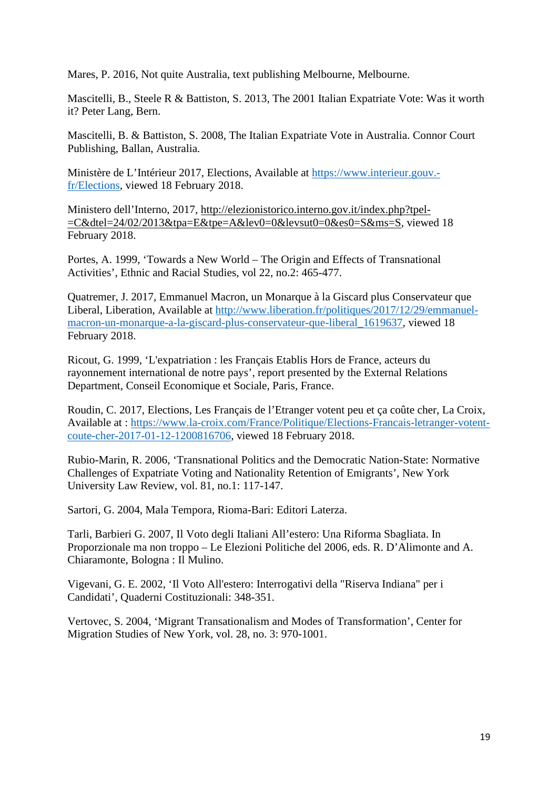Mares, P. 2016, Not quite Australia, text publishing Melbourne, Melbourne.

Mascitelli, B., Steele R & Battiston, S. 2013, The 2001 Italian Expatriate Vote: Was it worth it? Peter Lang, Bern.

Mascitelli, B. & Battiston, S. 2008, The Italian Expatriate Vote in Australia. Connor Court Publishing, Ballan, Australia.

Ministère de L'Intérieur 2017, Elections, Available at [https://www.interieur.gouv.](https://www.interieur.gouv.-fr/Elections) [fr/Elections,](https://www.interieur.gouv.-fr/Elections) viewed 18 February 2018.

Ministero dell'Interno, 2017, [http://elezionistorico.interno.gov.it/index.php?tpel-](http://elezionistorico.interno.gov.it/index.php?tpel-=C&dtel=24/02/2013&tpa=E&tpe=A&lev0=0&levsut0=0&es0=S&ms=S) [=C&dtel=24/02/2013&tpa=E&tpe=A&lev0=0&levsut0=0&es0=S&ms=S,](http://elezionistorico.interno.gov.it/index.php?tpel-=C&dtel=24/02/2013&tpa=E&tpe=A&lev0=0&levsut0=0&es0=S&ms=S) viewed 18 February 2018.

Portes, A. 1999, 'Towards a New World – The Origin and Effects of Transnational Activities', Ethnic and Racial Studies, vol 22, no.2: 465-477.

Quatremer, J. 2017, Emmanuel Macron, un Monarque à la Giscard plus Conservateur que Liberal, Liberation, Available at [http://www.liberation.fr/politiques/2017/12/29/emmanuel](http://www.liberation.fr/politiques/2017/12/29/emmanuel-macron-un-monarque-a-la-giscard-plus-conservateur-que-liberal_1619637)[macron-un-monarque-a-la-giscard-plus-conservateur-que-liberal\\_1619637,](http://www.liberation.fr/politiques/2017/12/29/emmanuel-macron-un-monarque-a-la-giscard-plus-conservateur-que-liberal_1619637) viewed 18 February 2018.

Ricout, G. 1999, 'L'expatriation : les Français Etablis Hors de France, acteurs du rayonnement international de notre pays', report presented by the External Relations Department, Conseil Economique et Sociale, Paris, France.

Roudin, C. 2017, Elections, Les Français de l'Etranger votent peu et ça coûte cher, La Croix, Available at : [https://www.la-croix.com/France/Politique/Elections-Francais-letranger-votent](https://www.la-croix.com/France/Politique/Elections-Francais-letranger-votent-coute-cher-2017-01-12-1200816706)[coute-cher-2017-01-12-1200816706,](https://www.la-croix.com/France/Politique/Elections-Francais-letranger-votent-coute-cher-2017-01-12-1200816706) viewed 18 February 2018.

Rubio-Marin, R. 2006, 'Transnational Politics and the Democratic Nation-State: Normative Challenges of Expatriate Voting and Nationality Retention of Emigrants', New York University Law Review, vol. 81, no.1: 117-147.

Sartori, G. 2004, Mala Tempora, Rioma-Bari: Editori Laterza.

Tarli, Barbieri G. 2007, Il Voto degli Italiani All'estero: Una Riforma Sbagliata. In Proporzionale ma non troppo – Le Elezioni Politiche del 2006, eds. R. D'Alimonte and A. Chiaramonte, Bologna : Il Mulino.

Vigevani, G. E. 2002, 'Il Voto All'estero: Interrogativi della "Riserva Indiana" per i Candidati', Quaderni Costituzionali: 348-351.

Vertovec, S. 2004, 'Migrant Transationalism and Modes of Transformation', Center for Migration Studies of New York, vol. 28, no. 3: 970-1001.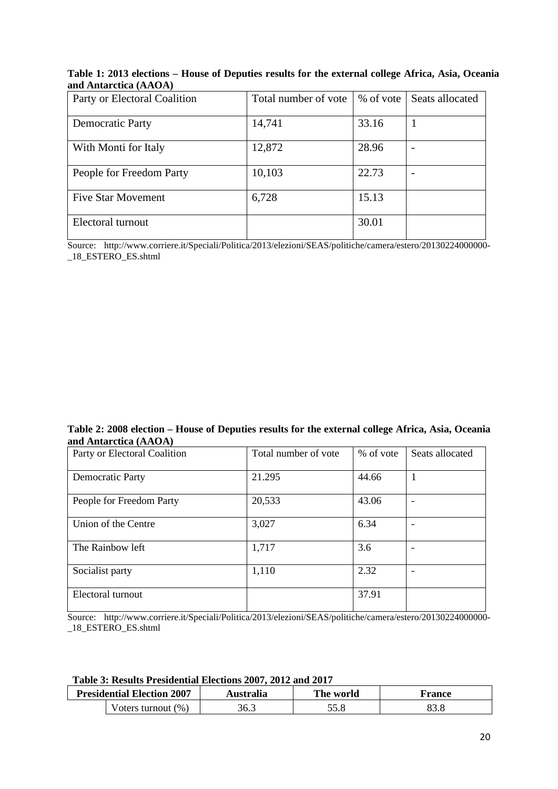### **Table 1: 2013 elections – House of Deputies results for the external college Africa, Asia, Oceania and Antarctica (AAOA)**

| Party or Electoral Coalition | Total number of vote | % of vote | Seats allocated |
|------------------------------|----------------------|-----------|-----------------|
|                              |                      |           |                 |
| <b>Democratic Party</b>      | 14,741               | 33.16     |                 |
|                              |                      |           |                 |
| With Monti for Italy         | 12,872               | 28.96     |                 |
|                              |                      |           |                 |
| People for Freedom Party     | 10,103               | 22.73     |                 |
|                              |                      |           |                 |
| <b>Five Star Movement</b>    | 6,728                | 15.13     |                 |
|                              |                      |           |                 |
| Electoral turnout            |                      | 30.01     |                 |
|                              |                      |           |                 |

Source: http://www.corriere.it/Speciali/Politica/2013/elezioni/SEAS/politiche/camera/estero/20130224000000- \_18\_ESTERO\_ES.shtml

#### **Table 2: 2008 election – House of Deputies results for the external college Africa, Asia, Oceania and Antarctica (AAOA)**

| Party or Electoral Coalition | Total number of vote | % of vote | Seats allocated |
|------------------------------|----------------------|-----------|-----------------|
| <b>Democratic Party</b>      | 21.295               | 44.66     | 1               |
| People for Freedom Party     | 20,533               | 43.06     |                 |
| Union of the Centre          | 3,027                | 6.34      |                 |
| The Rainbow left             | 1,717                | 3.6       |                 |
| Socialist party              | 1,110                | 2.32      |                 |
| Electoral turnout            |                      | 37.91     |                 |

Source: http://www.corriere.it/Speciali/Politica/2013/elezioni/SEAS/politiche/camera/estero/20130224000000- \_18\_ESTERO\_ES.shtml

#### **Table 3: Results Presidential Elections 2007, 2012 and 2017**

| <b>Presidential Election 2007</b> | Australia | The world | r rance |
|-----------------------------------|-----------|-----------|---------|
| Voters turnout $(\%)$             | 36.3      |           |         |